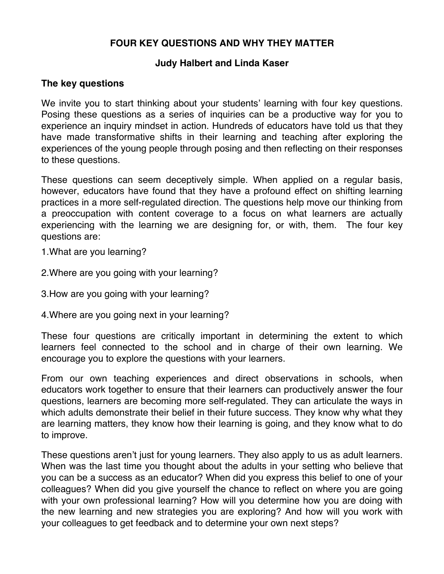# **FOUR KEY QUESTIONS AND WHY THEY MATTER**

#### **Judy Halbert and Linda Kaser**

### **The key questions**

We invite you to start thinking about your students' learning with four key questions. Posing these questions as a series of inquiries can be a productive way for you to experience an inquiry mindset in action. Hundreds of educators have told us that they have made transformative shifts in their learning and teaching after exploring the experiences of the young people through posing and then reflecting on their responses to these questions.

These questions can seem deceptively simple. When applied on a regular basis, however, educators have found that they have a profound effect on shifting learning practices in a more self-regulated direction. The questions help move our thinking from a preoccupation with content coverage to a focus on what learners are actually experiencing with the learning we are designing for, or with, them. The four key questions are:

1.What are you learning?

2.Where are you going with your learning?

3.How are you going with your learning?

4.Where are you going next in your learning?

These four questions are critically important in determining the extent to which learners feel connected to the school and in charge of their own learning. We encourage you to explore the questions with your learners.

From our own teaching experiences and direct observations in schools, when educators work together to ensure that their learners can productively answer the four questions, learners are becoming more self-regulated. They can articulate the ways in which adults demonstrate their belief in their future success. They know why what they are learning matters, they know how their learning is going, and they know what to do to improve.

These questions aren't just for young learners. They also apply to us as adult learners. When was the last time you thought about the adults in your setting who believe that you can be a success as an educator? When did you express this belief to one of your colleagues? When did you give yourself the chance to reflect on where you are going with your own professional learning? How will you determine how you are doing with the new learning and new strategies you are exploring? And how will you work with your colleagues to get feedback and to determine your own next steps?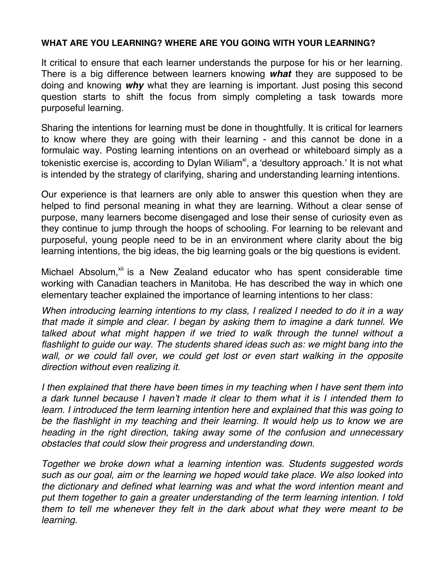#### **WHAT ARE YOU LEARNING? WHERE ARE YOU GOING WITH YOUR LEARNING?**

It critical to ensure that each learner understands the purpose for his or her learning. There is a big difference between learners knowing *what* they are supposed to be doing and knowing *why* what they are learning is important. Just posing this second question starts to shift the focus from simply completing a task towards more purposeful learning.

Sharing the intentions for learning must be done in thoughtfully. It is critical for learners to know where they are going with their learning - and this cannot be done in a formulaic way. Posting learning intentions on an overhead or whiteboard simply as a tokenistic exercise is, according to Dylan Wiliam<sup>xi</sup>, a 'desultory approach.' It is not what is intended by the strategy of clarifying, sharing and understanding learning intentions.

Our experience is that learners are only able to answer this question when they are helped to find personal meaning in what they are learning. Without a clear sense of purpose, many learners become disengaged and lose their sense of curiosity even as they continue to jump through the hoops of schooling. For learning to be relevant and purposeful, young people need to be in an environment where clarity about the big learning intentions, the big ideas, the big learning goals or the big questions is evident.

Michael Absolum,<sup>xii</sup> is a New Zealand educator who has spent considerable time working with Canadian teachers in Manitoba. He has described the way in which one elementary teacher explained the importance of learning intentions to her class:

*When introducing learning intentions to my class, I realized I needed to do it in a way that made it simple and clear. I began by asking them to imagine a dark tunnel. We talked about what might happen if we tried to walk through the tunnel without a flashlight to guide our way. The students shared ideas such as: we might bang into the wall, or we could fall over, we could get lost or even start walking in the opposite direction without even realizing it.* 

*I then explained that there have been times in my teaching when I have sent them into a dark tunnel because I haven't made it clear to them what it is I intended them to learn. I introduced the term learning intention here and explained that this was going to*  be the flashlight in my teaching and their learning. It would help us to know we are *heading in the right direction, taking away some of the confusion and unnecessary obstacles that could slow their progress and understanding down.* 

*Together we broke down what a learning intention was. Students suggested words such as our goal, aim or the learning we hoped would take place. We also looked into the dictionary and defined what learning was and what the word intention meant and put them together to gain a greater understanding of the term learning intention. I told them to tell me whenever they felt in the dark about what they were meant to be learning.*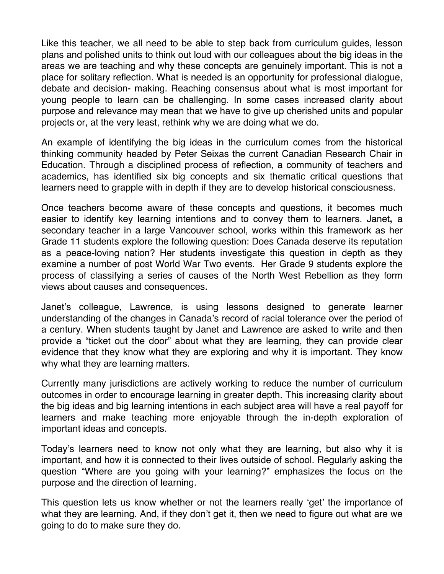Like this teacher, we all need to be able to step back from curriculum guides, lesson plans and polished units to think out loud with our colleagues about the big ideas in the areas we are teaching and why these concepts are genuinely important. This is not a place for solitary reflection. What is needed is an opportunity for professional dialogue, debate and decision- making. Reaching consensus about what is most important for young people to learn can be challenging. In some cases increased clarity about purpose and relevance may mean that we have to give up cherished units and popular projects or, at the very least, rethink why we are doing what we do.

An example of identifying the big ideas in the curriculum comes from the historical thinking community headed by Peter Seixas the current Canadian Research Chair in Education. Through a disciplined process of reflection, a community of teachers and academics, has identified six big concepts and six thematic critical questions that learners need to grapple with in depth if they are to develop historical consciousness.

Once teachers become aware of these concepts and questions, it becomes much easier to identify key learning intentions and to convey them to learners. Janet**,** a secondary teacher in a large Vancouver school, works within this framework as her Grade 11 students explore the following question: Does Canada deserve its reputation as a peace-loving nation? Her students investigate this question in depth as they examine a number of post World War Two events. Her Grade 9 students explore the process of classifying a series of causes of the North West Rebellion as they form views about causes and consequences.

Janet's colleague, Lawrence, is using lessons designed to generate learner understanding of the changes in Canada's record of racial tolerance over the period of a century. When students taught by Janet and Lawrence are asked to write and then provide a "ticket out the door" about what they are learning, they can provide clear evidence that they know what they are exploring and why it is important. They know why what they are learning matters.

Currently many jurisdictions are actively working to reduce the number of curriculum outcomes in order to encourage learning in greater depth. This increasing clarity about the big ideas and big learning intentions in each subject area will have a real payoff for learners and make teaching more enjoyable through the in-depth exploration of important ideas and concepts.

Today's learners need to know not only what they are learning, but also why it is important, and how it is connected to their lives outside of school. Regularly asking the question "Where are you going with your learning?" emphasizes the focus on the purpose and the direction of learning.

This question lets us know whether or not the learners really 'get' the importance of what they are learning. And, if they don't get it, then we need to figure out what are we going to do to make sure they do.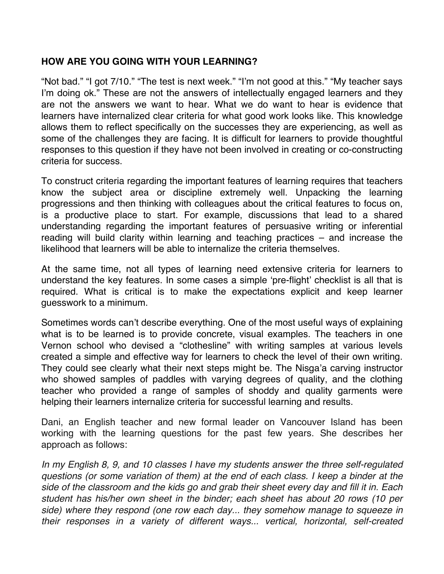### **HOW ARE YOU GOING WITH YOUR LEARNING?**

"Not bad." "I got 7/10." "The test is next week." "I'm not good at this." "My teacher says I'm doing ok." These are not the answers of intellectually engaged learners and they are not the answers we want to hear. What we do want to hear is evidence that learners have internalized clear criteria for what good work looks like. This knowledge allows them to reflect specifically on the successes they are experiencing, as well as some of the challenges they are facing. It is difficult for learners to provide thoughtful responses to this question if they have not been involved in creating or co-constructing criteria for success.

To construct criteria regarding the important features of learning requires that teachers know the subject area or discipline extremely well. Unpacking the learning progressions and then thinking with colleagues about the critical features to focus on, is a productive place to start. For example, discussions that lead to a shared understanding regarding the important features of persuasive writing or inferential reading will build clarity within learning and teaching practices – and increase the likelihood that learners will be able to internalize the criteria themselves.

At the same time, not all types of learning need extensive criteria for learners to understand the key features. In some cases a simple 'pre-flight' checklist is all that is required. What is critical is to make the expectations explicit and keep learner guesswork to a minimum.

Sometimes words can't describe everything. One of the most useful ways of explaining what is to be learned is to provide concrete, visual examples. The teachers in one Vernon school who devised a "clothesline" with writing samples at various levels created a simple and effective way for learners to check the level of their own writing. They could see clearly what their next steps might be. The Nisga'a carving instructor who showed samples of paddles with varying degrees of quality, and the clothing teacher who provided a range of samples of shoddy and quality garments were helping their learners internalize criteria for successful learning and results.

Dani, an English teacher and new formal leader on Vancouver Island has been working with the learning questions for the past few years. She describes her approach as follows:

*In my English 8, 9, and 10 classes I have my students answer the three self-regulated questions (or some variation of them) at the end of each class. I keep a binder at the side of the classroom and the kids go and grab their sheet every day and fill it in. Each student has his/her own sheet in the binder; each sheet has about 20 rows (10 per side) where they respond (one row each day... they somehow manage to squeeze in their responses in a variety of different ways... vertical, horizontal, self-created*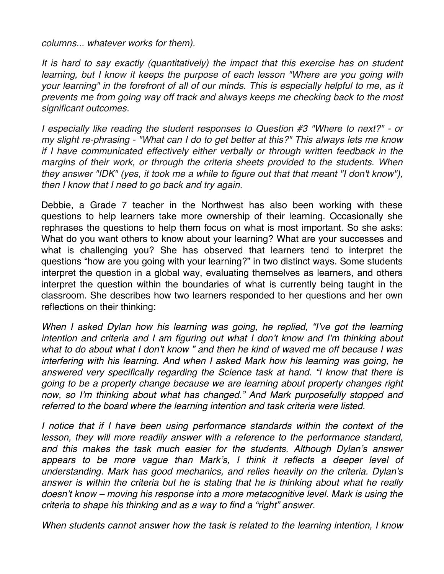*columns... whatever works for them).* 

*It is hard to say exactly (quantitatively) the impact that this exercise has on student learning, but I know it keeps the purpose of each lesson "Where are you going with your learning" in the forefront of all of our minds. This is especially helpful to me, as it prevents me from going way off track and always keeps me checking back to the most significant outcomes.* 

*I especially like reading the student responses to Question #3 "Where to next?" - or my slight re-phrasing - "What can I do to get better at this?" This always lets me know if I have communicated effectively either verbally or through written feedback in the margins of their work, or through the criteria sheets provided to the students. When they answer "IDK" (yes, it took me a while to figure out that that meant "I don't know"), then I know that I need to go back and try again.* 

Debbie, a Grade 7 teacher in the Northwest has also been working with these questions to help learners take more ownership of their learning. Occasionally she rephrases the questions to help them focus on what is most important. So she asks: What do you want others to know about your learning? What are your successes and what is challenging you? She has observed that learners tend to interpret the questions "how are you going with your learning?" in two distinct ways. Some students interpret the question in a global way, evaluating themselves as learners, and others interpret the question within the boundaries of what is currently being taught in the classroom. She describes how two learners responded to her questions and her own reflections on their thinking:

*When I asked Dylan how his learning was going, he replied, "I've got the learning intention and criteria and I am figuring out what I don't know and I'm thinking about what to do about what I don't know " and then he kind of waved me off because I was interfering with his learning. And when I asked Mark how his learning was going, he answered very specifically regarding the Science task at hand. "I know that there is going to be a property change because we are learning about property changes right*  now, so I'm thinking about what has changed." And Mark purposefully stopped and *referred to the board where the learning intention and task criteria were listed.* 

*I* notice that if I have been using performance standards within the context of the lesson, they will more readily answer with a reference to the performance standard, *and this makes the task much easier for the students. Although Dylan's answer appears to be more vague than Mark's, I think it reflects a deeper level of understanding. Mark has good mechanics, and relies heavily on the criteria. Dylan's answer is within the criteria but he is stating that he is thinking about what he really doesn't know – moving his response into a more metacognitive level. Mark is using the criteria to shape his thinking and as a way to find a "right" answer.* 

*When students cannot answer how the task is related to the learning intention, I know*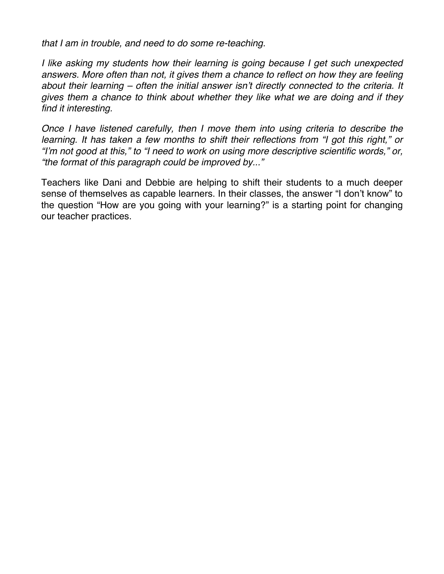*that I am in trouble, and need to do some re-teaching.* 

*I like asking my students how their learning is going because I get such unexpected answers. More often than not, it gives them a chance to reflect on how they are feeling about their learning – often the initial answer isn't directly connected to the criteria. It gives them a chance to think about whether they like what we are doing and if they find it interesting.* 

*Once I have listened carefully, then I move them into using criteria to describe the learning. It has taken a few months to shift their reflections from "I got this right," or "I'm not good at this," to "I need to work on using more descriptive scientific words," or, "the format of this paragraph could be improved by..."* 

Teachers like Dani and Debbie are helping to shift their students to a much deeper sense of themselves as capable learners. In their classes, the answer "I don't know" to the question "How are you going with your learning?" is a starting point for changing our teacher practices.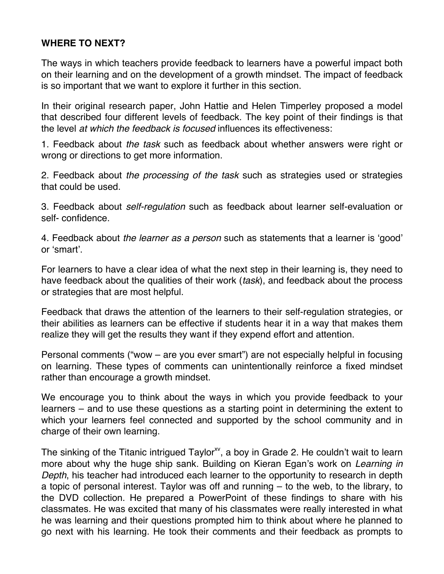# **WHERE TO NEXT?**

The ways in which teachers provide feedback to learners have a powerful impact both on their learning and on the development of a growth mindset. The impact of feedback is so important that we want to explore it further in this section.

In their original research paper, John Hattie and Helen Timperley proposed a model that described four different levels of feedback. The key point of their findings is that the level *at which the feedback is focused* influences its effectiveness:

1. Feedback about *the task* such as feedback about whether answers were right or wrong or directions to get more information.

2. Feedback about *the processing of the task* such as strategies used or strategies that could be used.

3. Feedback about *self-regulation* such as feedback about learner self-evaluation or self- confidence.

4. Feedback about *the learner as a person* such as statements that a learner is 'good' or 'smart'.

For learners to have a clear idea of what the next step in their learning is, they need to have feedback about the qualities of their work (*task*), and feedback about the process or strategies that are most helpful.

Feedback that draws the attention of the learners to their self-regulation strategies, or their abilities as learners can be effective if students hear it in a way that makes them realize they will get the results they want if they expend effort and attention.

Personal comments ("wow – are you ever smart") are not especially helpful in focusing on learning. These types of comments can unintentionally reinforce a fixed mindset rather than encourage a growth mindset.

We encourage you to think about the ways in which you provide feedback to your learners – and to use these questions as a starting point in determining the extent to which your learners feel connected and supported by the school community and in charge of their own learning.

The sinking of the Titanic intrigued Taylor<sup>xy</sup>, a boy in Grade 2. He couldn't wait to learn more about why the huge ship sank. Building on Kieran Egan's work on *Learning in Depth*, his teacher had introduced each learner to the opportunity to research in depth a topic of personal interest. Taylor was off and running – to the web, to the library, to the DVD collection. He prepared a PowerPoint of these findings to share with his classmates. He was excited that many of his classmates were really interested in what he was learning and their questions prompted him to think about where he planned to go next with his learning. He took their comments and their feedback as prompts to